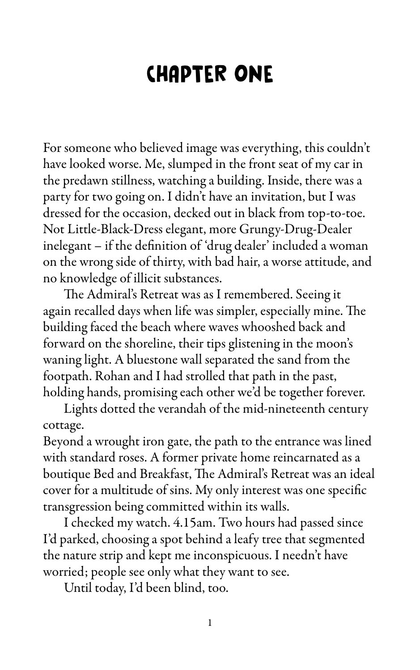## CHAPTER ONE

For someone who believed image was everything, this couldn't have looked worse. Me, slumped in the front seat of my car in the predawn stillness, watching a building. Inside, there was a party for two going on. I didn't have an invitation, but I was dressed for the occasion, decked out in black from top-to-toe. Not Little-Black-Dress elegant, more Grungy-Drug-Dealer inelegant – if the definition of 'drug dealer' included a woman on the wrong side of thirty, with bad hair, a worse attitude, and no knowledge of illicit substances.

The Admiral's Retreat was as I remembered. Seeing it again recalled days when life was simpler, especially mine. The building faced the beach where waves whooshed back and forward on the shoreline, their tips glistening in the moon's waning light. A bluestone wall separated the sand from the footpath. Rohan and I had strolled that path in the past, holding hands, promising each other we'd be together forever.

Lights dotted the verandah of the mid-nineteenth century cottage.

Beyond a wrought iron gate, the path to the entrance was lined with standard roses. A former private home reincarnated as a boutique Bed and Breakfast, The Admiral's Retreat was an ideal cover for a multitude of sins. My only interest was one specific transgression being committed within its walls.

I checked my watch. 4.15am. Two hours had passed since I'd parked, choosing a spot behind a leafy tree that segmented the nature strip and kept me inconspicuous. I needn't have worried; people see only what they want to see.

Until today, I'd been blind, too.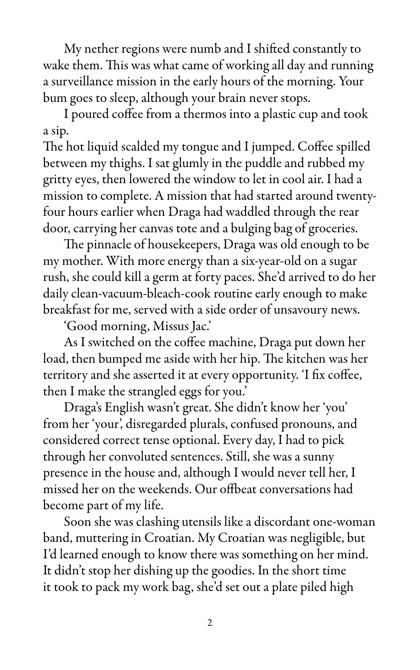My nether regions were numb and I shifted constantly to wake them. This was what came of working all day and running a surveillance mission in the early hours of the morning. Your bum goes to sleep, although your brain never stops.

I poured coffee from a thermos into a plastic cup and took a sip.

The hot liquid scalded my tongue and I jumped. Coffee spilled between my thighs. I sat glumly in the puddle and rubbed my gritty eyes, then lowered the window to let in cool air. I had a mission to complete. A mission that had started around twentyfour hours earlier when Draga had waddled through the rear door, carrying her canvas tote and a bulging bag of groceries.

The pinnacle of housekeepers, Draga was old enough to be my mother. With more energy than a six-year-old on a sugar rush, she could kill a germ at forty paces. She'd arrived to do her daily clean-vacuum-bleach-cook routine early enough to make breakfast for me, served with a side order of unsavoury news.

'Good morning, Missus Jac.'

As I switched on the coffee machine, Draga put down her load, then bumped me aside with her hip. The kitchen was her territory and she asserted it at every opportunity. 'I fix coffee, then I make the strangled eggs for you.'

Draga's English wasn't great. She didn't know her 'you' from her 'your', disregarded plurals, confused pronouns, and considered correct tense optional. Every day, I had to pick through her convoluted sentences. Still, she was a sunny presence in the house and, although I would never tell her, I missed her on the weekends. Our offbeat conversations had become part of my life.

Soon she was clashing utensils like a discordant one-woman band, muttering in Croatian. My Croatian was negligible, but I'd learned enough to know there was something on her mind. It didn't stop her dishing up the goodies. In the short time it took to pack my work bag, she'd set out a plate piled high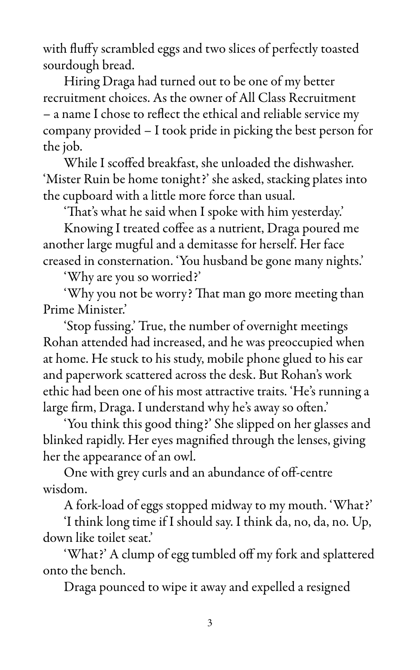with fluffy scrambled eggs and two slices of perfectly toasted sourdough bread.

Hiring Draga had turned out to be one of my better recruitment choices. As the owner of All Class Recruitment – a name I chose to reflect the ethical and reliable service my company provided – I took pride in picking the best person for the job.

While I scoffed breakfast, she unloaded the dishwasher. 'Mister Ruin be home tonight?' she asked, stacking plates into the cupboard with a little more force than usual.

'That's what he said when I spoke with him yesterday.'

Knowing I treated coffee as a nutrient, Draga poured me another large mugful and a demitasse for herself. Her face creased in consternation. 'You husband be gone many nights.'

'Why are you so worried?'

'Why you not be worry? That man go more meeting than Prime Minister.'

'Stop fussing.' True, the number of overnight meetings Rohan attended had increased, and he was preoccupied when at home. He stuck to his study, mobile phone glued to his ear and paperwork scattered across the desk. But Rohan's work ethic had been one of his most attractive traits. 'He's running a large firm, Draga. I understand why he's away so often.'

'You think this good thing?' She slipped on her glasses and blinked rapidly. Her eyes magnified through the lenses, giving her the appearance of an owl.

One with grey curls and an abundance of off-centre wisdom.

A fork-load of eggs stopped midway to my mouth. 'What?'

'I think long time if I should say. I think da, no, da, no. Up, down like toilet seat.'

'What?' A clump of egg tumbled off my fork and splattered onto the bench.

Draga pounced to wipe it away and expelled a resigned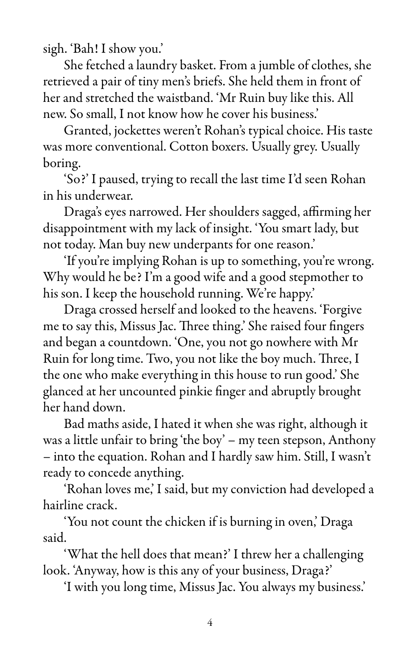sigh. 'Bah! I show you.'

She fetched a laundry basket. From a jumble of clothes, she retrieved a pair of tiny men's briefs. She held them in front of her and stretched the waistband. 'Mr Ruin buy like this. All new. So small, I not know how he cover his business.'

Granted, jockettes weren't Rohan's typical choice. His taste was more conventional. Cotton boxers. Usually grey. Usually boring.

'So?' I paused, trying to recall the last time I'd seen Rohan in his underwear.

Draga's eyes narrowed. Her shoulders sagged, affirming her disappointment with my lack of insight. 'You smart lady, but not today. Man buy new underpants for one reason.'

'If you're implying Rohan is up to something, you're wrong. Why would he be? I'm a good wife and a good stepmother to his son. I keep the household running. We're happy.'

Draga crossed herself and looked to the heavens. 'Forgive me to say this, Missus Jac. Three thing.' She raised four fingers and began a countdown. 'One, you not go nowhere with Mr Ruin for long time. Two, you not like the boy much. Three, I the one who make everything in this house to run good.' She glanced at her uncounted pinkie finger and abruptly brought her hand down.

Bad maths aside, I hated it when she was right, although it was a little unfair to bring 'the boy' – my teen stepson, Anthony – into the equation. Rohan and I hardly saw him. Still, I wasn't ready to concede anything.

'Rohan loves me,' I said, but my conviction had developed a hairline crack.

'You not count the chicken if is burning in oven,' Draga said.

'What the hell does that mean?' I threw her a challenging look. 'Anyway, how is this any of your business, Draga?'

'I with you long time, Missus Jac. You always my business.'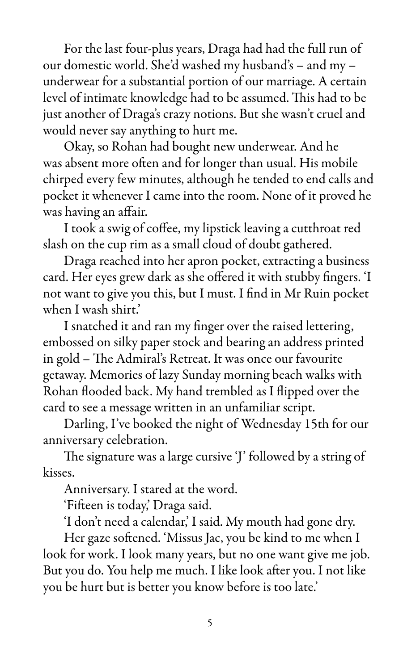For the last four-plus years, Draga had had the full run of our domestic world. She'd washed my husband's – and my – underwear for a substantial portion of our marriage. A certain level of intimate knowledge had to be assumed. This had to be just another of Draga's crazy notions. But she wasn't cruel and would never say anything to hurt me.

Okay, so Rohan had bought new underwear. And he was absent more often and for longer than usual. His mobile chirped every few minutes, although he tended to end calls and pocket it whenever I came into the room. None of it proved he was having an affair.

I took a swig of coffee, my lipstick leaving a cutthroat red slash on the cup rim as a small cloud of doubt gathered.

Draga reached into her apron pocket, extracting a business card. Her eyes grew dark as she offered it with stubby fingers. 'I not want to give you this, but I must. I find in Mr Ruin pocket when I wash shirt.'

I snatched it and ran my finger over the raised lettering, embossed on silky paper stock and bearing an address printed in gold – The Admiral's Retreat. It was once our favourite getaway. Memories of lazy Sunday morning beach walks with Rohan flooded back. My hand trembled as I flipped over the card to see a message written in an unfamiliar script.

Darling, I've booked the night of Wednesday 15th for our anniversary celebration.

The signature was a large cursive 'J' followed by a string of kisses.

Anniversary. I stared at the word.

'Fifteen is today,' Draga said.

'I don't need a calendar,' I said. My mouth had gone dry.

Her gaze softened. 'Missus Jac, you be kind to me when I look for work. I look many years, but no one want give me job. But you do. You help me much. I like look after you. I not like you be hurt but is better you know before is too late.'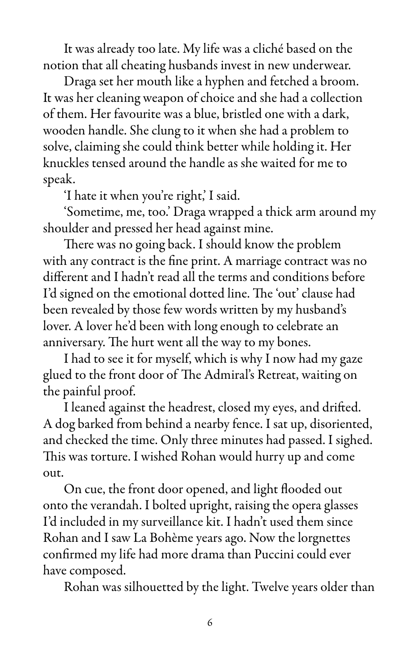It was already too late. My life was a cliché based on the notion that all cheating husbands invest in new underwear.

Draga set her mouth like a hyphen and fetched a broom. It was her cleaning weapon of choice and she had a collection of them. Her favourite was a blue, bristled one with a dark, wooden handle. She clung to it when she had a problem to solve, claiming she could think better while holding it. Her knuckles tensed around the handle as she waited for me to speak.

'I hate it when you're right,' I said.

'Sometime, me, too.' Draga wrapped a thick arm around my shoulder and pressed her head against mine.

There was no going back. I should know the problem with any contract is the fine print. A marriage contract was no different and I hadn't read all the terms and conditions before I'd signed on the emotional dotted line. The 'out' clause had been revealed by those few words written by my husband's lover. A lover he'd been with long enough to celebrate an anniversary. The hurt went all the way to my bones.

I had to see it for myself, which is why I now had my gaze glued to the front door of The Admiral's Retreat, waiting on the painful proof.

I leaned against the headrest, closed my eyes, and drifted. A dog barked from behind a nearby fence. I sat up, disoriented, and checked the time. Only three minutes had passed. I sighed. This was torture. I wished Rohan would hurry up and come out.

On cue, the front door opened, and light flooded out onto the verandah. I bolted upright, raising the opera glasses I'd included in my surveillance kit. I hadn't used them since Rohan and I saw La Bohème years ago. Now the lorgnettes confirmed my life had more drama than Puccini could ever have composed.

Rohan was silhouetted by the light. Twelve years older than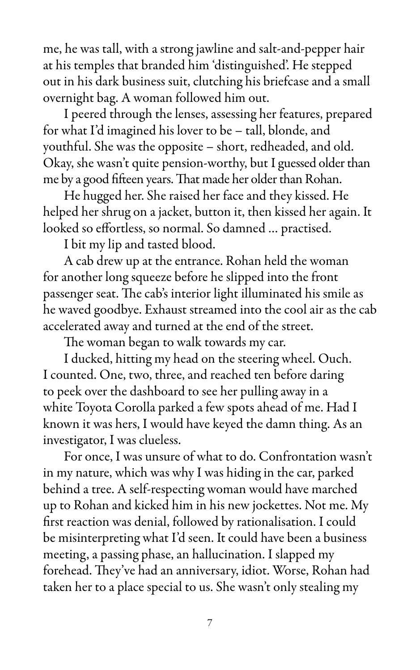me, he was tall, with a strong jawline and salt-and-pepper hair at his temples that branded him 'distinguished'. He stepped out in his dark business suit, clutching his briefcase and a small overnight bag. A woman followed him out.

I peered through the lenses, assessing her features, prepared for what I'd imagined his lover to be – tall, blonde, and youthful. She was the opposite – short, redheaded, and old. Okay, she wasn't quite pension-worthy, but I guessed older than me by a good fifteen years. That made her older than Rohan.

He hugged her. She raised her face and they kissed. He helped her shrug on a jacket, button it, then kissed her again. It looked so effortless, so normal. So damned … practised.

I bit my lip and tasted blood.

A cab drew up at the entrance. Rohan held the woman for another long squeeze before he slipped into the front passenger seat. The cab's interior light illuminated his smile as he waved goodbye. Exhaust streamed into the cool air as the cab accelerated away and turned at the end of the street.

The woman began to walk towards my car.

I ducked, hitting my head on the steering wheel. Ouch. I counted. One, two, three, and reached ten before daring to peek over the dashboard to see her pulling away in a white Toyota Corolla parked a few spots ahead of me. Had I known it was hers, I would have keyed the damn thing. As an investigator, I was clueless.

For once, I was unsure of what to do. Confrontation wasn't in my nature, which was why I was hiding in the car, parked behind a tree. A self-respecting woman would have marched up to Rohan and kicked him in his new jockettes. Not me. My first reaction was denial, followed by rationalisation. I could be misinterpreting what I'd seen. It could have been a business meeting, a passing phase, an hallucination. I slapped my forehead. They've had an anniversary, idiot. Worse, Rohan had taken her to a place special to us. She wasn't only stealing my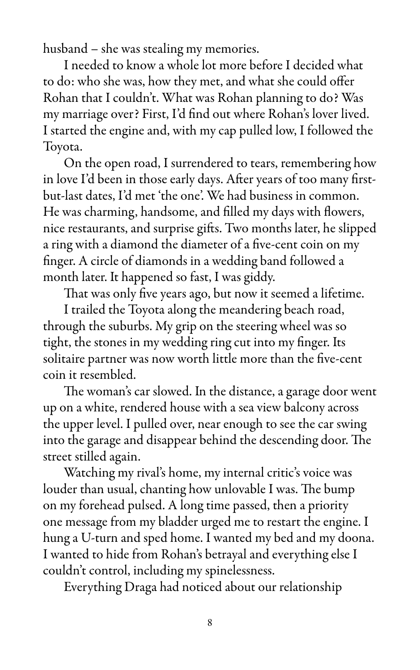husband – she was stealing my memories.

I needed to know a whole lot more before I decided what to do: who she was, how they met, and what she could offer Rohan that I couldn't. What was Rohan planning to do? Was my marriage over? First, I'd find out where Rohan's lover lived. I started the engine and, with my cap pulled low, I followed the Toyota.

On the open road, I surrendered to tears, remembering how in love I'd been in those early days. After years of too many firstbut-last dates, I'd met 'the one'. We had business in common. He was charming, handsome, and filled my days with flowers, nice restaurants, and surprise gifts. Two months later, he slipped a ring with a diamond the diameter of a five-cent coin on my finger. A circle of diamonds in a wedding band followed a month later. It happened so fast, I was giddy.

That was only five years ago, but now it seemed a lifetime.

I trailed the Toyota along the meandering beach road, through the suburbs. My grip on the steering wheel was so tight, the stones in my wedding ring cut into my finger. Its solitaire partner was now worth little more than the five-cent coin it resembled.

The woman's car slowed. In the distance, a garage door went up on a white, rendered house with a sea view balcony across the upper level. I pulled over, near enough to see the car swing into the garage and disappear behind the descending door. The street stilled again.

Watching my rival's home, my internal critic's voice was louder than usual, chanting how unlovable I was. The bump on my forehead pulsed. A long time passed, then a priority one message from my bladder urged me to restart the engine. I hung a U-turn and sped home. I wanted my bed and my doona. I wanted to hide from Rohan's betrayal and everything else I couldn't control, including my spinelessness.

Everything Draga had noticed about our relationship